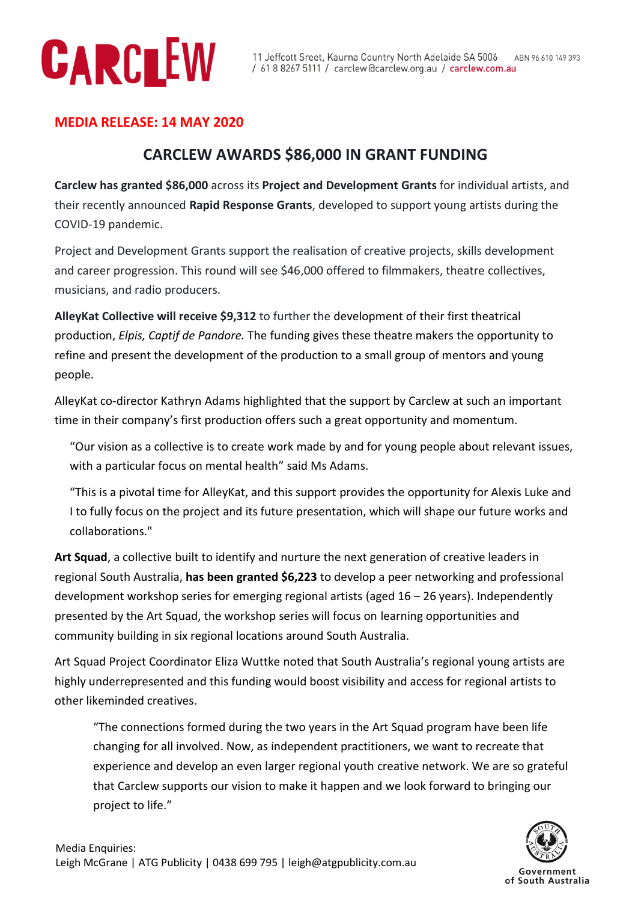## CARCLEW

### **MEDIA RELEASE: 14 MAY 2020**

### **CARCLEW AWARDS \$86,000 IN GRANT FUNDING**

**Carclew has granted \$86,000** across its **Project and Development Grants** for individual artists, and their recently announced **Rapid Response Grants**, developed to support young artists during the COVID-19 pandemic.

Project and Development Grants support the realisation of creative projects, skills development and career progression. This round will see \$46,000 offered to filmmakers, theatre collectives, musicians, and radio producers.

**AlleyKat Collective will receive \$9,312** to further the development of their first theatrical production, *Elpis, Captif de Pandore.* The funding gives these theatre makers the opportunity to refine and present the development of the production to a small group of mentors and young people.

AlleyKat co-director Kathryn Adams highlighted that the support by Carclew at such an important time in their company's first production offers such a great opportunity and momentum.

"Our vision as a collective is to create work made by and for young people about relevant issues, with a particular focus on mental health" said Ms Adams.

"This is a pivotal time for AlleyKat, and this support provides the opportunity for Alexis Luke and I to fully focus on the project and its future presentation, which will shape our future works and collaborations."

**Art Squad**, a collective built to identify and nurture the next generation of creative leaders in regional South Australia, **has been granted \$6,223** to develop a peer networking and professional development workshop series for emerging regional artists (aged 16 – 26 years). Independently presented by the Art Squad, the workshop series will focus on learning opportunities and community building in six regional locations around South Australia.

Art Squad Project Coordinator Eliza Wuttke noted that South Australia's regional young artists are highly underrepresented and this funding would boost visibility and access for regional artists to other likeminded creatives.

"The connections formed during the two years in the Art Squad program have been life changing for all involved. Now, as independent practitioners, we want to recreate that experience and develop an even larger regional youth creative network. We are so grateful that Carclew supports our vision to make it happen and we look forward to bringing our project to life."



of South Australia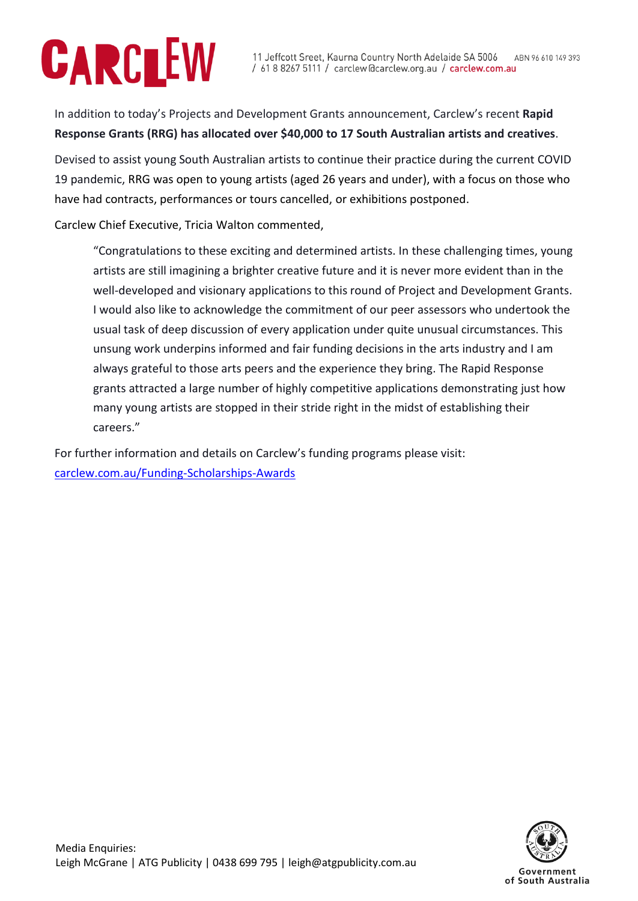# CARCLEW

In addition to today's Projects and Development Grants announcement, Carclew's recent **Rapid Response Grants (RRG) has allocated over \$40,000 to 17 South Australian artists and creatives**.

Devised to assist young South Australian artists to continue their practice during the current COVID 19 pandemic, RRG was open to young artists (aged 26 years and under), with a focus on those who have had contracts, performances or tours cancelled, or exhibitions postponed.

Carclew Chief Executive, Tricia Walton commented,

"Congratulations to these exciting and determined artists. In these challenging times, young artists are still imagining a brighter creative future and it is never more evident than in the well-developed and visionary applications to this round of Project and Development Grants. I would also like to acknowledge the commitment of our peer assessors who undertook the usual task of deep discussion of every application under quite unusual circumstances. This unsung work underpins informed and fair funding decisions in the arts industry and I am always grateful to those arts peers and the experience they bring. The Rapid Response grants attracted a large number of highly competitive applications demonstrating just how many young artists are stopped in their stride right in the midst of establishing their careers."

For further information and details on Carclew's funding programs please visit: [carclew.com.au/Funding-Scholarships-Awards](https://carclew.com.au/Funding-Scholarships-Awards)